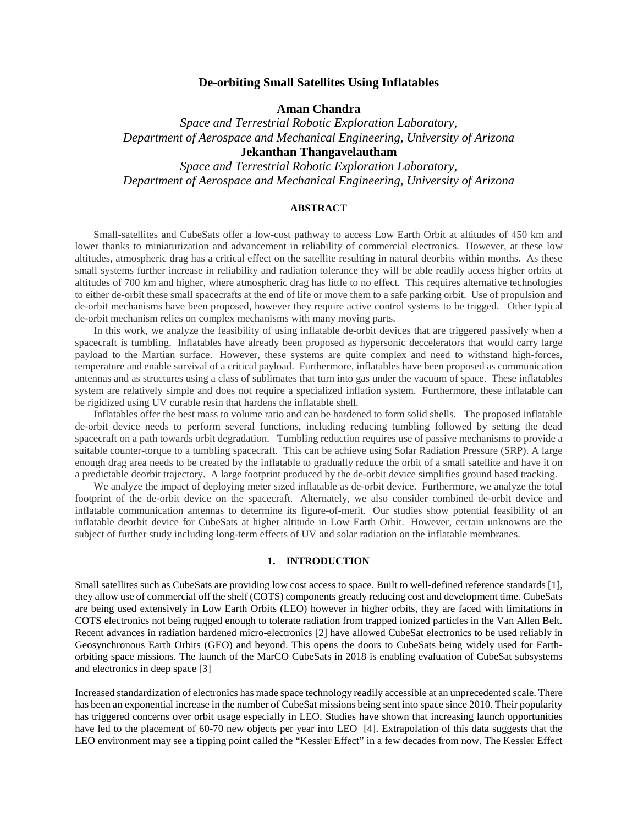## **De-orbiting Small Satellites Using Inflatables**

**Aman Chandra**

*Space and Terrestrial Robotic Exploration Laboratory, Department of Aerospace and Mechanical Engineering, University of Arizona* **Jekanthan Thangavelautham**

*Space and Terrestrial Robotic Exploration Laboratory, Department of Aerospace and Mechanical Engineering, University of Arizona* 

### **ABSTRACT**

Small-satellites and CubeSats offer a low-cost pathway to access Low Earth Orbit at altitudes of 450 km and lower thanks to miniaturization and advancement in reliability of commercial electronics. However, at these low altitudes, atmospheric drag has a critical effect on the satellite resulting in natural deorbits within months. As these small systems further increase in reliability and radiation tolerance they will be able readily access higher orbits at altitudes of 700 km and higher, where atmospheric drag has little to no effect. This requires alternative technologies to either de-orbit these small spacecrafts at the end of life or move them to a safe parking orbit. Use of propulsion and de-orbit mechanisms have been proposed, however they require active control systems to be trigged. Other typical de-orbit mechanism relies on complex mechanisms with many moving parts.

In this work, we analyze the feasibility of using inflatable de-orbit devices that are triggered passively when a spacecraft is tumbling. Inflatables have already been proposed as hypersonic deccelerators that would carry large payload to the Martian surface. However, these systems are quite complex and need to withstand high-forces, temperature and enable survival of a critical payload. Furthermore, inflatables have been proposed as communication antennas and as structures using a class of sublimates that turn into gas under the vacuum of space. These inflatables system are relatively simple and does not require a specialized inflation system. Furthermore, these inflatable can be rigidized using UV curable resin that hardens the inflatable shell.

Inflatables offer the best mass to volume ratio and can be hardened to form solid shells. The proposed inflatable de-orbit device needs to perform several functions, including reducing tumbling followed by setting the dead spacecraft on a path towards orbit degradation. Tumbling reduction requires use of passive mechanisms to provide a suitable counter-torque to a tumbling spacecraft. This can be achieve using Solar Radiation Pressure (SRP). A large enough drag area needs to be created by the inflatable to gradually reduce the orbit of a small satellite and have it on a predictable deorbit trajectory. A large footprint produced by the de-orbit device simplifies ground based tracking.

We analyze the impact of deploying meter sized inflatable as de-orbit device. Furthermore, we analyze the total footprint of the de-orbit device on the spacecraft. Alternately, we also consider combined de-orbit device and inflatable communication antennas to determine its figure-of-merit. Our studies show potential feasibility of an inflatable deorbit device for CubeSats at higher altitude in Low Earth Orbit. However, certain unknowns are the subject of further study including long-term effects of UV and solar radiation on the inflatable membranes.

#### **1. INTRODUCTION**

Small satellites such as CubeSats are providing low cost access to space. Built to well-defined reference standards [1], they allow use of commercial off the shelf (COTS) components greatly reducing cost and development time. CubeSats are being used extensively in Low Earth Orbits (LEO) however in higher orbits, they are faced with limitations in COTS electronics not being rugged enough to tolerate radiation from trapped ionized particles in the Van Allen Belt. Recent advances in radiation hardened micro-electronics [2] have allowed CubeSat electronics to be used reliably in Geosynchronous Earth Orbits (GEO) and beyond. This opens the doors to CubeSats being widely used for Earthorbiting space missions. The launch of the MarCO CubeSats in 2018 is enabling evaluation of CubeSat subsystems and electronics in deep space [3]

Increased standardization of electronics has made space technology readily accessible at an unprecedented scale. There has been an exponential increase in the number of CubeSat missions being sent into space since 2010. Their popularity has triggered concerns over orbit usage especially in LEO. Studies have shown that increasing launch opportunities have led to the placement of 60-70 new objects per year into LEO [4]. Extrapolation of this data suggests that the LEO environment may see a tipping point called the "Kessler Effect" in a few decades from now. The Kessler Effect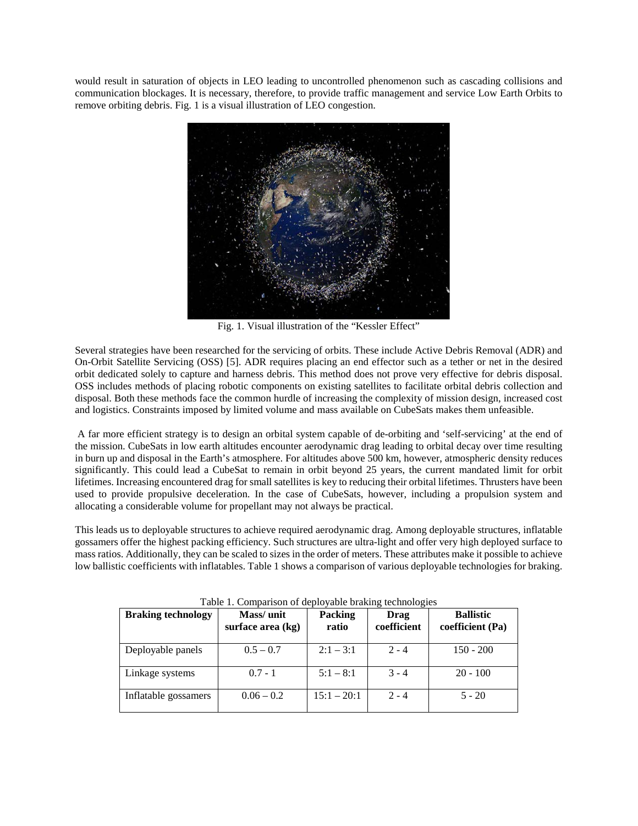would result in saturation of objects in LEO leading to uncontrolled phenomenon such as cascading collisions and communication blockages. It is necessary, therefore, to provide traffic management and service Low Earth Orbits to remove orbiting debris. Fig. 1 is a visual illustration of LEO congestion.



Fig. 1. Visual illustration of the "Kessler Effect"

Several strategies have been researched for the servicing of orbits. These include Active Debris Removal (ADR) and On-Orbit Satellite Servicing (OSS) [5]. ADR requires placing an end effector such as a tether or net in the desired orbit dedicated solely to capture and harness debris. This method does not prove very effective for debris disposal. OSS includes methods of placing robotic components on existing satellites to facilitate orbital debris collection and disposal. Both these methods face the common hurdle of increasing the complexity of mission design, increased cost and logistics. Constraints imposed by limited volume and mass available on CubeSats makes them unfeasible.

A far more efficient strategy is to design an orbital system capable of de-orbiting and 'self-servicing' at the end of the mission. CubeSats in low earth altitudes encounter aerodynamic drag leading to orbital decay over time resulting in burn up and disposal in the Earth's atmosphere. For altitudes above 500 km, however, atmospheric density reduces significantly. This could lead a CubeSat to remain in orbit beyond 25 years, the current mandated limit for orbit lifetimes. Increasing encountered drag for small satellites is key to reducing their orbital lifetimes. Thrusters have been used to provide propulsive deceleration. In the case of CubeSats, however, including a propulsion system and allocating a considerable volume for propellant may not always be practical.

This leads us to deployable structures to achieve required aerodynamic drag. Among deployable structures, inflatable gossamers offer the highest packing efficiency. Such structures are ultra-light and offer very high deployed surface to mass ratios. Additionally, they can be scaled to sizes in the order of meters. These attributes make it possible to achieve low ballistic coefficients with inflatables. Table 1 shows a comparison of various deployable technologies for braking.

| <b>Braking technology</b> | Mass/unit<br>surface area (kg) | <b>Packing</b><br>ratio | Drag<br>coefficient | <b>Ballistic</b><br>coefficient (Pa) |
|---------------------------|--------------------------------|-------------------------|---------------------|--------------------------------------|
| Deployable panels         | $0.5 - 0.7$                    | $2:1 - 3:1$             | $2 - 4$             | $150 - 200$                          |
| Linkage systems           | $0.7 - 1$                      | $5:1 - 8:1$             | $3 - 4$             | $20 - 100$                           |
| Inflatable gossamers      | $0.06 - 0.2$                   | $15:1 - 20:1$           | $2 - 4$             | $5 - 20$                             |

|  |  | Table 1. Comparison of deployable braking technologies |
|--|--|--------------------------------------------------------|
|  |  |                                                        |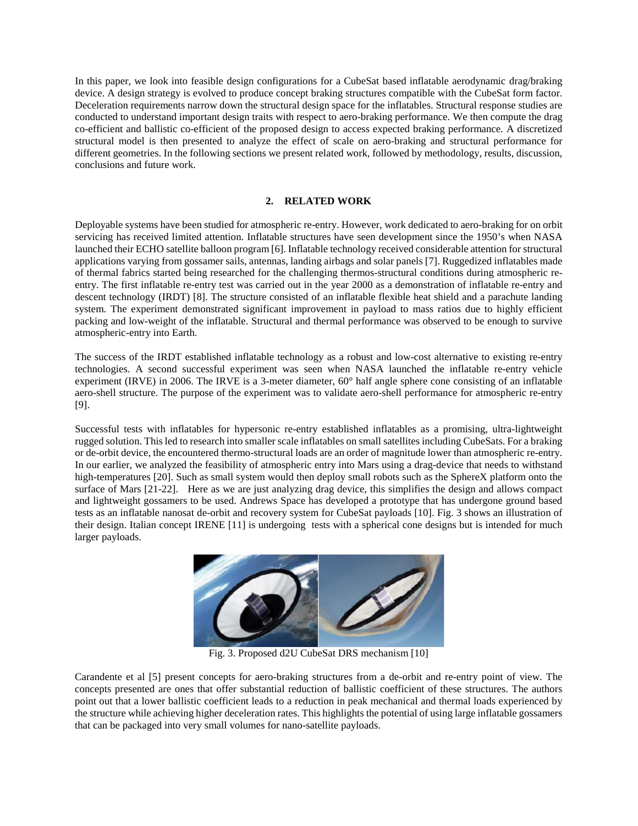In this paper, we look into feasible design configurations for a CubeSat based inflatable aerodynamic drag/braking device. A design strategy is evolved to produce concept braking structures compatible with the CubeSat form factor. Deceleration requirements narrow down the structural design space for the inflatables. Structural response studies are conducted to understand important design traits with respect to aero-braking performance. We then compute the drag co-efficient and ballistic co-efficient of the proposed design to access expected braking performance. A discretized structural model is then presented to analyze the effect of scale on aero-braking and structural performance for different geometries. In the following sections we present related work, followed by methodology, results, discussion, conclusions and future work.

## **2. RELATED WORK**

Deployable systems have been studied for atmospheric re-entry. However, work dedicated to aero-braking for on orbit servicing has received limited attention. Inflatable structures have seen development since the 1950's when NASA launched their ECHO satellite balloon program [6]. Inflatable technology received considerable attention for structural applications varying from gossamer sails, antennas, landing airbags and solar panels [7]. Ruggedized inflatables made of thermal fabrics started being researched for the challenging thermos-structural conditions during atmospheric reentry. The first inflatable re-entry test was carried out in the year 2000 as a demonstration of inflatable re-entry and descent technology (IRDT) [8]. The structure consisted of an inflatable flexible heat shield and a parachute landing system. The experiment demonstrated significant improvement in payload to mass ratios due to highly efficient packing and low-weight of the inflatable. Structural and thermal performance was observed to be enough to survive atmospheric-entry into Earth.

The success of the IRDT established inflatable technology as a robust and low-cost alternative to existing re-entry technologies. A second successful experiment was seen when NASA launched the inflatable re-entry vehicle experiment (IRVE) in 2006. The IRVE is a 3-meter diameter, 60° half angle sphere cone consisting of an inflatable aero-shell structure. The purpose of the experiment was to validate aero-shell performance for atmospheric re-entry [9].

Successful tests with inflatables for hypersonic re-entry established inflatables as a promising, ultra-lightweight rugged solution. This led to research into smaller scale inflatables on small satellites including CubeSats. For a braking or de-orbit device, the encountered thermo-structural loads are an order of magnitude lower than atmospheric re-entry. In our earlier, we analyzed the feasibility of atmospheric entry into Mars using a drag-device that needs to withstand high-temperatures [20]. Such as small system would then deploy small robots such as the SphereX platform onto the surface of Mars [21-22]. Here as we are just analyzing drag device, this simplifies the design and allows compact and lightweight gossamers to be used. Andrews Space has developed a prototype that has undergone ground based tests as an inflatable nanosat de-orbit and recovery system for CubeSat payloads [10]. Fig. 3 shows an illustration of their design. Italian concept IRENE [11] is undergoing tests with a spherical cone designs but is intended for much larger payloads.



Fig. 3. Proposed d2U CubeSat DRS mechanism [10]

Carandente et al [5] present concepts for aero-braking structures from a de-orbit and re-entry point of view. The concepts presented are ones that offer substantial reduction of ballistic coefficient of these structures. The authors point out that a lower ballistic coefficient leads to a reduction in peak mechanical and thermal loads experienced by the structure while achieving higher deceleration rates. This highlights the potential of using large inflatable gossamers that can be packaged into very small volumes for nano-satellite payloads.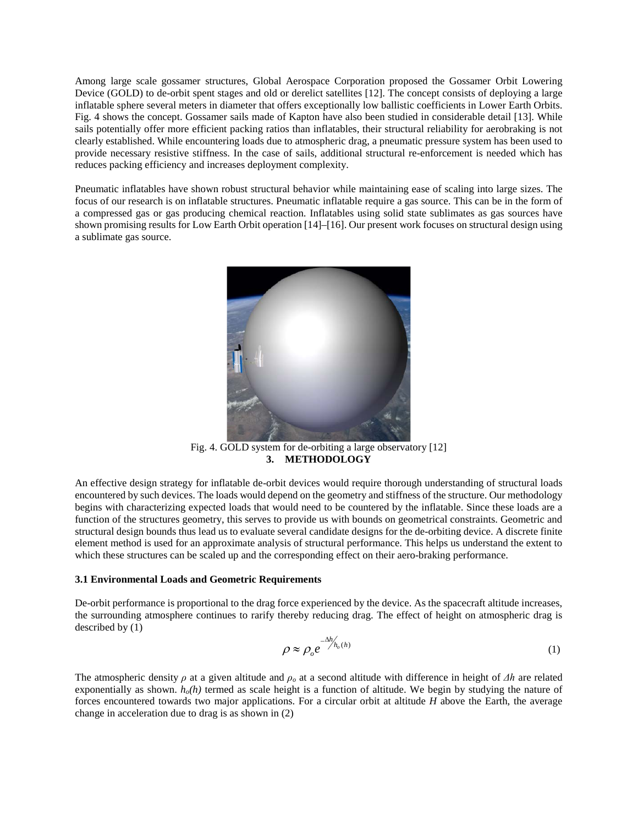Among large scale gossamer structures, Global Aerospace Corporation proposed the Gossamer Orbit Lowering Device (GOLD) to de-orbit spent stages and old or derelict satellites [12]. The concept consists of deploying a large inflatable sphere several meters in diameter that offers exceptionally low ballistic coefficients in Lower Earth Orbits. Fig. 4 shows the concept. Gossamer sails made of Kapton have also been studied in considerable detail [13]. While sails potentially offer more efficient packing ratios than inflatables, their structural reliability for aerobraking is not clearly established. While encountering loads due to atmospheric drag, a pneumatic pressure system has been used to provide necessary resistive stiffness. In the case of sails, additional structural re-enforcement is needed which has reduces packing efficiency and increases deployment complexity.

Pneumatic inflatables have shown robust structural behavior while maintaining ease of scaling into large sizes. The focus of our research is on inflatable structures. Pneumatic inflatable require a gas source. This can be in the form of a compressed gas or gas producing chemical reaction. Inflatables using solid state sublimates as gas sources have shown promising results for Low Earth Orbit operation [14]–[16]. Our present work focuses on structural design using a sublimate gas source.



Fig. 4. GOLD system for de-orbiting a large observatory [12] **3. METHODOLOGY**

An effective design strategy for inflatable de-orbit devices would require thorough understanding of structural loads encountered by such devices. The loads would depend on the geometry and stiffness of the structure. Our methodology begins with characterizing expected loads that would need to be countered by the inflatable. Since these loads are a function of the structures geometry, this serves to provide us with bounds on geometrical constraints. Geometric and structural design bounds thus lead us to evaluate several candidate designs for the de-orbiting device. A discrete finite element method is used for an approximate analysis of structural performance. This helps us understand the extent to which these structures can be scaled up and the corresponding effect on their aero-braking performance.

#### **3.1 Environmental Loads and Geometric Requirements**

De-orbit performance is proportional to the drag force experienced by the device. As the spacecraft altitude increases, the surrounding atmosphere continues to rarify thereby reducing drag. The effect of height on atmospheric drag is described by (1)

$$
\rho \approx \rho_o e^{-\Delta h'_{h_o(h)}} \tag{1}
$$

The atmospheric density  $\rho$  at a given altitude and  $\rho_o$  at a second altitude with difference in height of  $\Delta h$  are related exponentially as shown.  $h_o(h)$  termed as scale height is a function of altitude. We begin by studying the nature of forces encountered towards two major applications. For a circular orbit at altitude *H* above the Earth, the average change in acceleration due to drag is as shown in (2)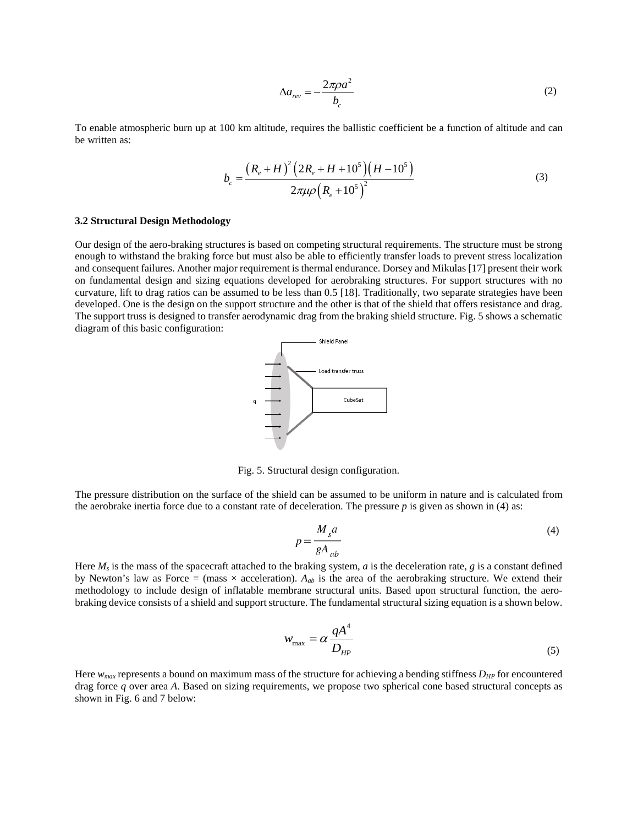$$
\Delta a_{rev} = -\frac{2\pi \rho a^2}{b_c} \tag{2}
$$

To enable atmospheric burn up at 100 km altitude, requires the ballistic coefficient be a function of altitude and can be written as:

$$
b_c = \frac{\left(R_e + H\right)^2 \left(2R_e + H + 10^5\right) \left(H - 10^5\right)}{2\pi\mu\rho \left(R_e + 10^5\right)^2}
$$
(3)

#### **3.2 Structural Design Methodology**

Our design of the aero-braking structures is based on competing structural requirements. The structure must be strong enough to withstand the braking force but must also be able to efficiently transfer loads to prevent stress localization and consequent failures. Another major requirement is thermal endurance. Dorsey and Mikulas [17] present their work on fundamental design and sizing equations developed for aerobraking structures. For support structures with no curvature, lift to drag ratios can be assumed to be less than 0.5 [18]. Traditionally, two separate strategies have been developed. One is the design on the support structure and the other is that of the shield that offers resistance and drag. The support truss is designed to transfer aerodynamic drag from the braking shield structure. Fig. 5 shows a schematic diagram of this basic configuration:



Fig. 5. Structural design configuration.

The pressure distribution on the surface of the shield can be assumed to be uniform in nature and is calculated from the aerobrake inertia force due to a constant rate of deceleration. The pressure *p* is given as shown in (4) as:

$$
p = \frac{M_s a}{g A_{ab}}
$$
 (4)

Here  $M_s$  is the mass of the spacecraft attached to the braking system, *a* is the deceleration rate, *g* is a constant defined by Newton's law as Force = (mass  $\times$  acceleration).  $A_{ab}$  is the area of the aerobraking structure. We extend their methodology to include design of inflatable membrane structural units. Based upon structural function, the aerobraking device consists of a shield and support structure. The fundamental structural sizing equation is a shown below.

$$
w_{\text{max}} = \alpha \frac{qA^4}{D_{HP}}
$$
 (5)

Here *wmax* represents a bound on maximum mass of the structure for achieving a bending stiffness *DHP* for encountered drag force *q* over area *A*. Based on sizing requirements, we propose two spherical cone based structural concepts as shown in Fig. 6 and 7 below: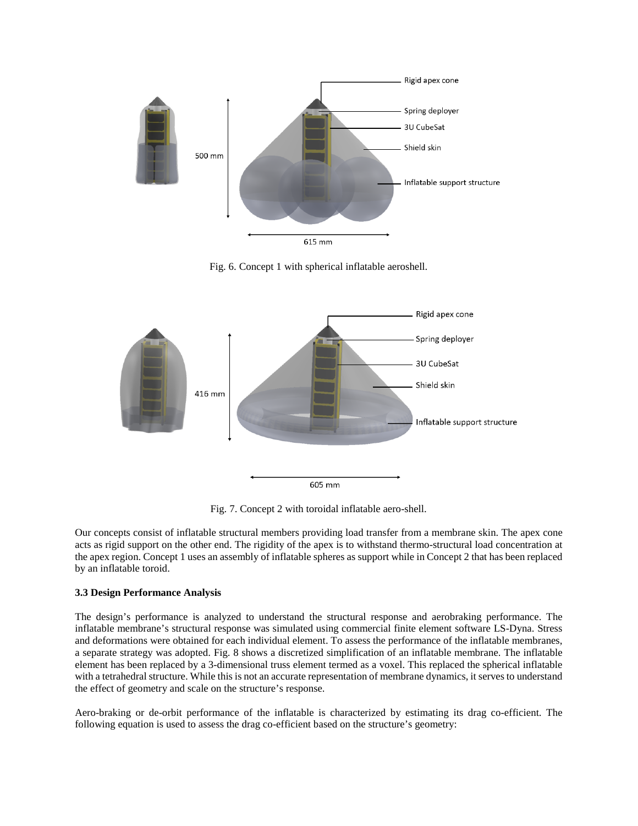

Fig. 6. Concept 1 with spherical inflatable aeroshell.



Fig. 7. Concept 2 with toroidal inflatable aero-shell.

Our concepts consist of inflatable structural members providing load transfer from a membrane skin. The apex cone acts as rigid support on the other end. The rigidity of the apex is to withstand thermo-structural load concentration at the apex region. Concept 1 uses an assembly of inflatable spheres as support while in Concept 2 that has been replaced by an inflatable toroid.

## **3.3 Design Performance Analysis**

The design's performance is analyzed to understand the structural response and aerobraking performance. The inflatable membrane's structural response was simulated using commercial finite element software LS-Dyna. Stress and deformations were obtained for each individual element. To assess the performance of the inflatable membranes, a separate strategy was adopted. Fig. 8 shows a discretized simplification of an inflatable membrane. The inflatable element has been replaced by a 3-dimensional truss element termed as a voxel. This replaced the spherical inflatable with a tetrahedral structure. While this is not an accurate representation of membrane dynamics, it serves to understand the effect of geometry and scale on the structure's response.

Aero-braking or de-orbit performance of the inflatable is characterized by estimating its drag co-efficient. The following equation is used to assess the drag co-efficient based on the structure's geometry: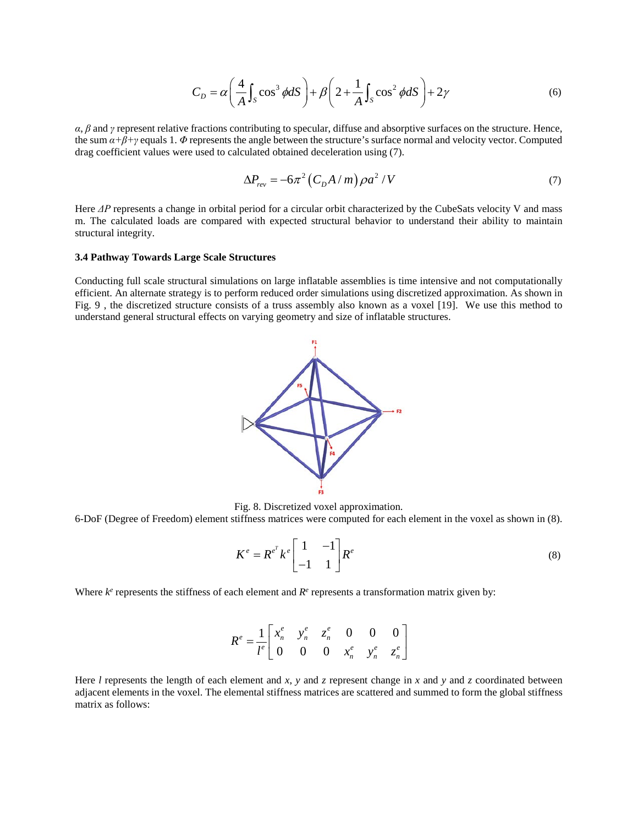$$
C_D = \alpha \left(\frac{4}{A} \int_S \cos^3 \phi dS\right) + \beta \left(2 + \frac{1}{A} \int_S \cos^2 \phi dS\right) + 2\gamma
$$
 (6)

*α*, *β* and *γ* represent relative fractions contributing to specular, diffuse and absorptive surfaces on the structure. Hence, the sum  $\alpha+\beta+\gamma$  equals 1.  $\Phi$  represents the angle between the structure's surface normal and velocity vector. Computed drag coefficient values were used to calculated obtained deceleration using (7).

$$
\Delta P_{rev} = -6\pi^2 \left( C_D A / m \right) \rho a^2 / V \tag{7}
$$

Here *ΔP* represents a change in orbital period for a circular orbit characterized by the CubeSats velocity V and mass m. The calculated loads are compared with expected structural behavior to understand their ability to maintain structural integrity.

### **3.4 Pathway Towards Large Scale Structures**

Conducting full scale structural simulations on large inflatable assemblies is time intensive and not computationally efficient. An alternate strategy is to perform reduced order simulations using discretized approximation. As shown in Fig. 9 , the discretized structure consists of a truss assembly also known as a voxel [19]. We use this method to understand general structural effects on varying geometry and size of inflatable structures.



Fig. 8. Discretized voxel approximation.

6-DoF (Degree of Freedom) element stiffness matrices were computed for each element in the voxel as shown in (8).

$$
K^e = R^{e^T} k^e \begin{bmatrix} 1 & -1 \\ -1 & 1 \end{bmatrix} R^e \tag{8}
$$

 $\overline{a}$ 

Where  $k^e$  represents the stiffness of each element and  $R^e$  represents a transformation matrix given by:

$$
R^{e} = \frac{1}{l^{e}} \begin{bmatrix} x_{n}^{e} & y_{n}^{e} & z_{n}^{e} & 0 & 0 & 0 \\ 0 & 0 & 0 & x_{n}^{e} & y_{n}^{e} & z_{n}^{e} \end{bmatrix}
$$

Here *l* represents the length of each element and *x*, *y* and *z* represent change in *x* and *y* and *z* coordinated between adjacent elements in the voxel. The elemental stiffness matrices are scattered and summed to form the global stiffness matrix as follows: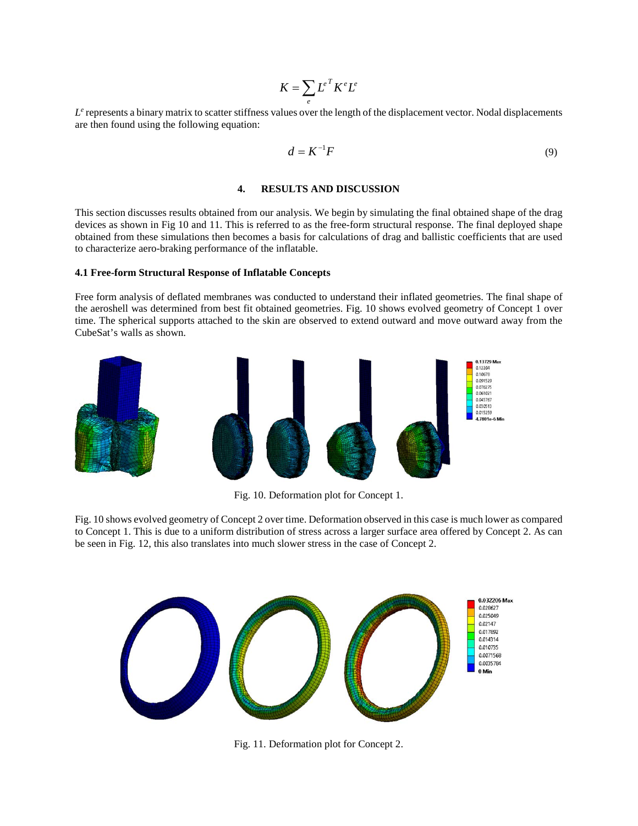$$
K = \sum_{e} L^{e} K^{e} L^{e}
$$

 $L<sup>e</sup>$  represents a binary matrix to scatter stiffness values over the length of the displacement vector. Nodal displacements are then found using the following equation:

$$
d = K^{-1}F \tag{9}
$$

### **4. RESULTS AND DISCUSSION**

This section discusses results obtained from our analysis. We begin by simulating the final obtained shape of the drag devices as shown in Fig 10 and 11. This is referred to as the free-form structural response. The final deployed shape obtained from these simulations then becomes a basis for calculations of drag and ballistic coefficients that are used to characterize aero-braking performance of the inflatable.

#### **4.1 Free-form Structural Response of Inflatable Concepts**

Free form analysis of deflated membranes was conducted to understand their inflated geometries. The final shape of the aeroshell was determined from best fit obtained geometries. Fig. 10 shows evolved geometry of Concept 1 over time. The spherical supports attached to the skin are observed to extend outward and move outward away from the CubeSat's walls as shown.



Fig. 10. Deformation plot for Concept 1.

Fig. 10 shows evolved geometry of Concept 2 over time. Deformation observed in this case is much lower as compared to Concept 1. This is due to a uniform distribution of stress across a larger surface area offered by Concept 2. As can be seen in Fig. 12, this also translates into much slower stress in the case of Concept 2.



Fig. 11. Deformation plot for Concept 2.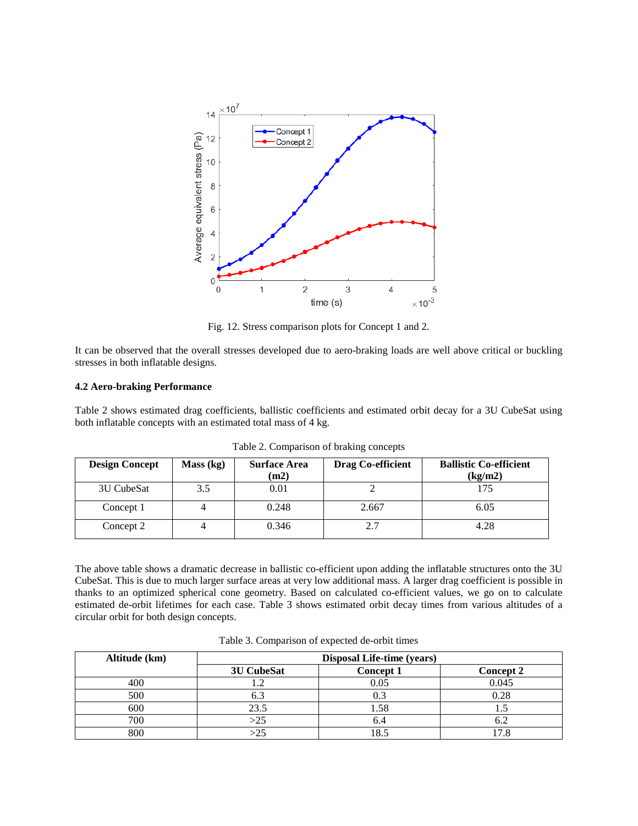

Fig. 12. Stress comparison plots for Concept 1 and 2.

It can be observed that the overall stresses developed due to aero-braking loads are well above critical or buckling stresses in both inflatable designs.

### **4.2 Aero-braking Performance**

Table 2 shows estimated drag coefficients, ballistic coefficients and estimated orbit decay for a 3U CubeSat using both inflatable concepts with an estimated total mass of 4 kg.

| <b>Design Concept</b> | Mass (kg) | <b>Surface Area</b><br>(m2) | Drag Co-efficient | <b>Ballistic Co-efficient</b><br>(kg/m2) |
|-----------------------|-----------|-----------------------------|-------------------|------------------------------------------|
| 3U CubeSat            | 3.5       | 0.01                        |                   | 175                                      |
| Concept 1             |           | 0.248                       | 2.667             | 6.05                                     |
| Concept 2             |           | 0.346                       | ר ר               | 4.28                                     |

Table 2. Comparison of braking concepts

The above table shows a dramatic decrease in ballistic co-efficient upon adding the inflatable structures onto the 3U CubeSat. This is due to much larger surface areas at very low additional mass. A larger drag coefficient is possible in thanks to an optimized spherical cone geometry. Based on calculated co-efficient values, we go on to calculate estimated de-orbit lifetimes for each case. Table 3 shows estimated orbit decay times from various altitudes of a circular orbit for both design concepts.

| Altitude (km) | <b>Disposal Life-time (years)</b> |           |                  |  |
|---------------|-----------------------------------|-----------|------------------|--|
|               | 3U CubeSat                        | Concept 1 | <b>Concept 2</b> |  |
| 400           |                                   | 0.05      | 0.045            |  |
| 500           | 6.3                               |           | 0.28             |  |
| 600           | 23.5                              | l.58      |                  |  |
| 700           | >25                               |           |                  |  |
| 800           |                                   | $\Omega$  |                  |  |

Table 3. Comparison of expected de-orbit times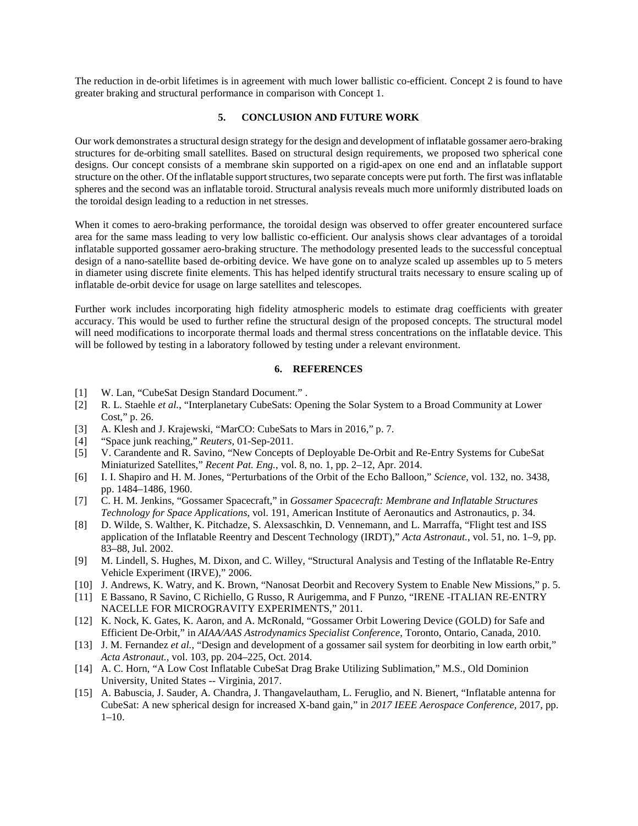The reduction in de-orbit lifetimes is in agreement with much lower ballistic co-efficient. Concept 2 is found to have greater braking and structural performance in comparison with Concept 1.

## **5. CONCLUSION AND FUTURE WORK**

Our work demonstrates a structural design strategy for the design and development of inflatable gossamer aero-braking structures for de-orbiting small satellites. Based on structural design requirements, we proposed two spherical cone designs. Our concept consists of a membrane skin supported on a rigid-apex on one end and an inflatable support structure on the other. Of the inflatable support structures, two separate concepts were put forth. The first was inflatable spheres and the second was an inflatable toroid. Structural analysis reveals much more uniformly distributed loads on the toroidal design leading to a reduction in net stresses.

When it comes to aero-braking performance, the toroidal design was observed to offer greater encountered surface area for the same mass leading to very low ballistic co-efficient. Our analysis shows clear advantages of a toroidal inflatable supported gossamer aero-braking structure. The methodology presented leads to the successful conceptual design of a nano-satellite based de-orbiting device. We have gone on to analyze scaled up assembles up to 5 meters in diameter using discrete finite elements. This has helped identify structural traits necessary to ensure scaling up of inflatable de-orbit device for usage on large satellites and telescopes.

Further work includes incorporating high fidelity atmospheric models to estimate drag coefficients with greater accuracy. This would be used to further refine the structural design of the proposed concepts. The structural model will need modifications to incorporate thermal loads and thermal stress concentrations on the inflatable device. This will be followed by testing in a laboratory followed by testing under a relevant environment.

# **6. REFERENCES**

- [1] W. Lan, "CubeSat Design Standard Document." .
- [2] R. L. Staehle *et al.*, "Interplanetary CubeSats: Opening the Solar System to a Broad Community at Lower Cost," p. 26.
- [3] A. Klesh and J. Krajewski, "MarCO: CubeSats to Mars in 2016," p. 7.
- [4] "Space junk reaching," *Reuters*, 01-Sep-2011.
- [5] V. Carandente and R. Savino, "New Concepts of Deployable De-Orbit and Re-Entry Systems for CubeSat Miniaturized Satellites," *Recent Pat. Eng.*, vol. 8, no. 1, pp. 2–12, Apr. 2014.
- [6] I. I. Shapiro and H. M. Jones, "Perturbations of the Orbit of the Echo Balloon," *Science*, vol. 132, no. 3438, pp. 1484–1486, 1960.
- [7] C. H. M. Jenkins, "Gossamer Spacecraft," in *Gossamer Spacecraft: Membrane and Inflatable Structures Technology for Space Applications*, vol. 191, American Institute of Aeronautics and Astronautics, p. 34.
- [8] D. Wilde, S. Walther, K. Pitchadze, S. Alexsaschkin, D. Vennemann, and L. Marraffa, "Flight test and ISS application of the Inflatable Reentry and Descent Technology (IRDT)," *Acta Astronaut.*, vol. 51, no. 1–9, pp. 83–88, Jul. 2002.
- [9] M. Lindell, S. Hughes, M. Dixon, and C. Willey, "Structural Analysis and Testing of the Inflatable Re-Entry Vehicle Experiment (IRVE)," 2006.
- [10] J. Andrews, K. Watry, and K. Brown, "Nanosat Deorbit and Recovery System to Enable New Missions," p. 5.
- [11] E Bassano, R Savino, C Richiello, G Russo, R Aurigemma, and F Punzo, "IRENE -ITALIAN RE-ENTRY NACELLE FOR MICROGRAVITY EXPERIMENTS," 2011.
- [12] K. Nock, K. Gates, K. Aaron, and A. McRonald, "Gossamer Orbit Lowering Device (GOLD) for Safe and Efficient De-Orbit," in *AIAA/AAS Astrodynamics Specialist Conference*, Toronto, Ontario, Canada, 2010.
- [13] J. M. Fernandez *et al.*, "Design and development of a gossamer sail system for deorbiting in low earth orbit," *Acta Astronaut.*, vol. 103, pp. 204–225, Oct. 2014.
- [14] A. C. Horn, "A Low Cost Inflatable CubeSat Drag Brake Utilizing Sublimation," M.S., Old Dominion University, United States -- Virginia, 2017.
- [15] A. Babuscia, J. Sauder, A. Chandra, J. Thangavelautham, L. Feruglio, and N. Bienert, "Inflatable antenna for CubeSat: A new spherical design for increased X-band gain," in *2017 IEEE Aerospace Conference*, 2017, pp.  $1-10.$